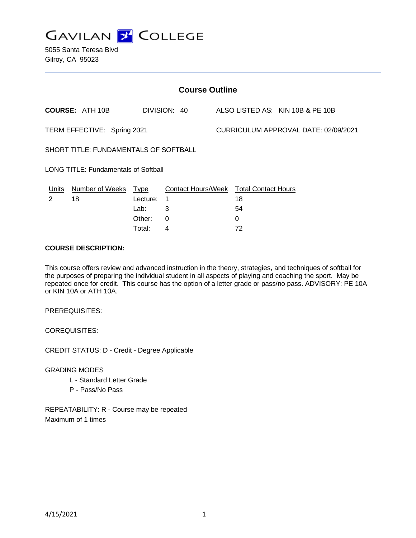

5055 Santa Teresa Blvd Gilroy, CA 95023

| <b>Course Outline</b>                       |                        |             |                           |  |                                      |                                  |  |
|---------------------------------------------|------------------------|-------------|---------------------------|--|--------------------------------------|----------------------------------|--|
|                                             | <b>COURSE: ATH 10B</b> |             | DIVISION: 40              |  |                                      | ALSO LISTED AS: KIN 10B & PE 10B |  |
| TERM EFFECTIVE: Spring 2021                 |                        |             |                           |  | CURRICULUM APPROVAL DATE: 02/09/2021 |                                  |  |
| SHORT TITLE: FUNDAMENTALS OF SOFTBALL       |                        |             |                           |  |                                      |                                  |  |
| <b>LONG TITLE: Fundamentals of Softball</b> |                        |             |                           |  |                                      |                                  |  |
| Units                                       | <b>Number of Weeks</b> | <b>Type</b> | <b>Contact Hours/Week</b> |  | <b>Total Contact Hours</b>           |                                  |  |
| 2                                           | 18                     | Lecture:    | -1                        |  | 18                                   |                                  |  |
|                                             |                        | Lab:        | 3                         |  | 54                                   |                                  |  |
|                                             |                        | Other:      | 0                         |  | 0                                    |                                  |  |
|                                             |                        | Total:      | 4                         |  | 72                                   |                                  |  |

## **COURSE DESCRIPTION:**

This course offers review and advanced instruction in the theory, strategies, and techniques of softball for the purposes of preparing the individual student in all aspects of playing and coaching the sport. May be repeated once for credit. This course has the option of a letter grade or pass/no pass. ADVISORY: PE 10A or KIN 10A or ATH 10A.

PREREQUISITES:

COREQUISITES:

CREDIT STATUS: D - Credit - Degree Applicable

GRADING MODES

- L Standard Letter Grade
- P Pass/No Pass

REPEATABILITY: R - Course may be repeated Maximum of 1 times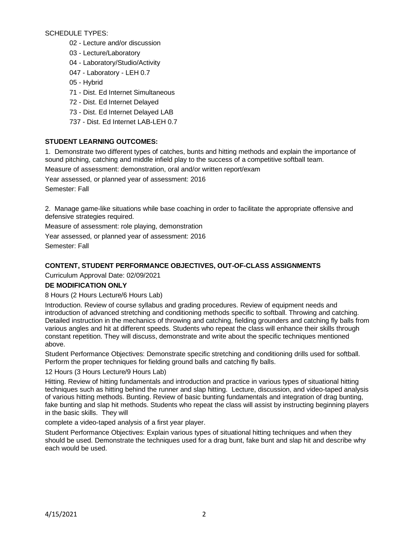SCHEDULE TYPES:

- 02 Lecture and/or discussion
- 03 Lecture/Laboratory
- 04 Laboratory/Studio/Activity
- 047 Laboratory LEH 0.7
- 05 Hybrid
- 71 Dist. Ed Internet Simultaneous
- 72 Dist. Ed Internet Delayed
- 73 Dist. Ed Internet Delayed LAB
- 737 Dist. Ed Internet LAB-LEH 0.7

# **STUDENT LEARNING OUTCOMES:**

1. Demonstrate two different types of catches, bunts and hitting methods and explain the importance of sound pitching, catching and middle infield play to the success of a competitive softball team.

Measure of assessment: demonstration, oral and/or written report/exam

Year assessed, or planned year of assessment: 2016

Semester: Fall

2. Manage game-like situations while base coaching in order to facilitate the appropriate offensive and defensive strategies required.

Measure of assessment: role playing, demonstration

Year assessed, or planned year of assessment: 2016

Semester: Fall

# **CONTENT, STUDENT PERFORMANCE OBJECTIVES, OUT-OF-CLASS ASSIGNMENTS**

Curriculum Approval Date: 02/09/2021

# **DE MODIFICATION ONLY**

# 8 Hours (2 Hours Lecture/6 Hours Lab)

Introduction. Review of course syllabus and grading procedures. Review of equipment needs and introduction of advanced stretching and conditioning methods specific to softball. Throwing and catching. Detailed instruction in the mechanics of throwing and catching, fielding grounders and catching fly balls from various angles and hit at different speeds. Students who repeat the class will enhance their skills through constant repetition. They will discuss, demonstrate and write about the specific techniques mentioned above.

Student Performance Objectives: Demonstrate specific stretching and conditioning drills used for softball. Perform the proper techniques for fielding ground balls and catching fly balls.

12 Hours (3 Hours Lecture/9 Hours Lab)

Hitting. Review of hitting fundamentals and introduction and practice in various types of situational hitting techniques such as hitting behind the runner and slap hitting. Lecture, discussion, and video-taped analysis of various hitting methods. Bunting. Review of basic bunting fundamentals and integration of drag bunting, fake bunting and slap hit methods. Students who repeat the class will assist by instructing beginning players in the basic skills. They will

complete a video-taped analysis of a first year player.

Student Performance Objectives: Explain various types of situational hitting techniques and when they should be used. Demonstrate the techniques used for a drag bunt, fake bunt and slap hit and describe why each would be used.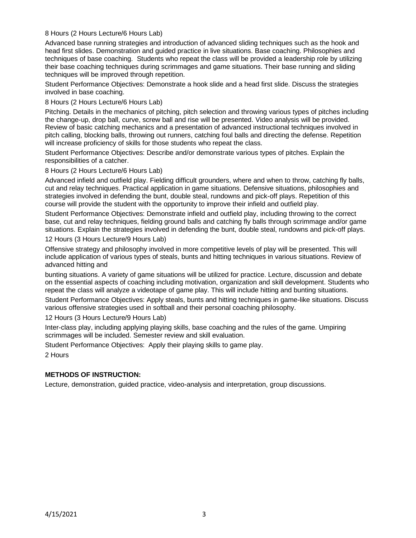# 8 Hours (2 Hours Lecture/6 Hours Lab)

Advanced base running strategies and introduction of advanced sliding techniques such as the hook and head first slides. Demonstration and guided practice in live situations. Base coaching. Philosophies and techniques of base coaching. Students who repeat the class will be provided a leadership role by utilizing their base coaching techniques during scrimmages and game situations. Their base running and sliding techniques will be improved through repetition.

Student Performance Objectives: Demonstrate a hook slide and a head first slide. Discuss the strategies involved in base coaching.

8 Hours (2 Hours Lecture/6 Hours Lab)

Pitching. Details in the mechanics of pitching, pitch selection and throwing various types of pitches including the change-up, drop ball, curve, screw ball and rise will be presented. Video analysis will be provided. Review of basic catching mechanics and a presentation of advanced instructional techniques involved in pitch calling, blocking balls, throwing out runners, catching foul balls and directing the defense. Repetition will increase proficiency of skills for those students who repeat the class.

Student Performance Objectives: Describe and/or demonstrate various types of pitches. Explain the responsibilities of a catcher.

8 Hours (2 Hours Lecture/6 Hours Lab)

Advanced infield and outfield play. Fielding difficult grounders, where and when to throw, catching fly balls, cut and relay techniques. Practical application in game situations. Defensive situations, philosophies and strategies involved in defending the bunt, double steal, rundowns and pick-off plays. Repetition of this course will provide the student with the opportunity to improve their infield and outfield play.

Student Performance Objectives: Demonstrate infield and outfield play, including throwing to the correct base, cut and relay techniques, fielding ground balls and catching fly balls through scrimmage and/or game situations. Explain the strategies involved in defending the bunt, double steal, rundowns and pick-off plays.

12 Hours (3 Hours Lecture/9 Hours Lab)

Offensive strategy and philosophy involved in more competitive levels of play will be presented. This will include application of various types of steals, bunts and hitting techniques in various situations. Review of advanced hitting and

bunting situations. A variety of game situations will be utilized for practice. Lecture, discussion and debate on the essential aspects of coaching including motivation, organization and skill development. Students who repeat the class will analyze a videotape of game play. This will include hitting and bunting situations.

Student Performance Objectives: Apply steals, bunts and hitting techniques in game-like situations. Discuss various offensive strategies used in softball and their personal coaching philosophy.

12 Hours (3 Hours Lecture/9 Hours Lab)

Inter-class play, including applying playing skills, base coaching and the rules of the game. Umpiring scrimmages will be included. Semester review and skill evaluation.

Student Performance Objectives: Apply their playing skills to game play.

2 Hours

# **METHODS OF INSTRUCTION:**

Lecture, demonstration, guided practice, video-analysis and interpretation, group discussions.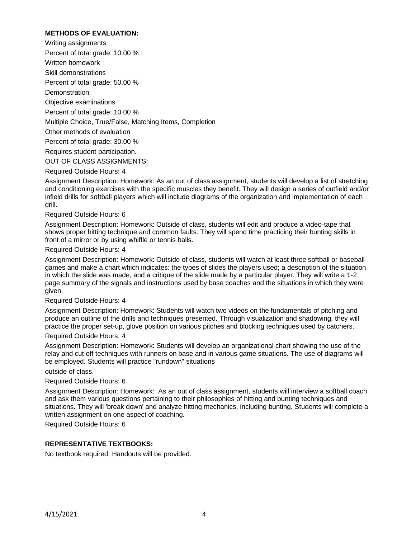# **METHODS OF EVALUATION:**

Writing assignments Percent of total grade: 10.00 % Written homework Skill demonstrations Percent of total grade: 50.00 % **Demonstration** Objective examinations Percent of total grade: 10.00 % Multiple Choice, True/False, Matching Items, Completion Other methods of evaluation Percent of total grade: 30.00 % Requires student participation. OUT OF CLASS ASSIGNMENTS:

### Required Outside Hours: 4

Assignment Description: Homework: As an out of class assignment, students will develop a list of stretching and conditioning exercises with the specific muscles they benefit. They will design a series of outfield and/or infield drills for softball players which will include diagrams of the organization and implementation of each drill.

#### Required Outside Hours: 6

Assignment Description: Homework: Outside of class, students will edit and produce a video-tape that shows proper hitting technique and common faults. They will spend time practicing their bunting skills in front of a mirror or by using whiffle or tennis balls.

#### Required Outside Hours: 4

Assignment Description: Homework: Outside of class, students will watch at least three softball or baseball games and make a chart which indicates: the types of slides the players used; a description of the situation in which the slide was made; and a critique of the slide made by a particular player. They will write a 1-2 page summary of the signals and instructions used by base coaches and the situations in which they were given.

### Required Outside Hours: 4

Assignment Description: Homework: Students will watch two videos on the fundamentals of pitching and produce an outline of the drills and techniques presented. Through visualization and shadowing, they will practice the proper set-up, glove position on various pitches and blocking techniques used by catchers.

#### Required Outside Hours: 4

Assignment Description: Homework: Students will develop an organizational chart showing the use of the relay and cut off techniques with runners on base and in various game situations. The use of diagrams will be employed. Students will practice "rundown" situations

## outside of class.

### Required Outside Hours: 6

Assignment Description: Homework: As an out of class assignment, students will interview a softball coach and ask them various questions pertaining to their philosophies of hitting and bunting techniques and situations. They will 'break down' and analyze hitting mechanics, including bunting. Students will complete a written assignment on one aspect of coaching.

### Required Outside Hours: 6

### **REPRESENTATIVE TEXTBOOKS:**

No textbook required. Handouts will be provided.